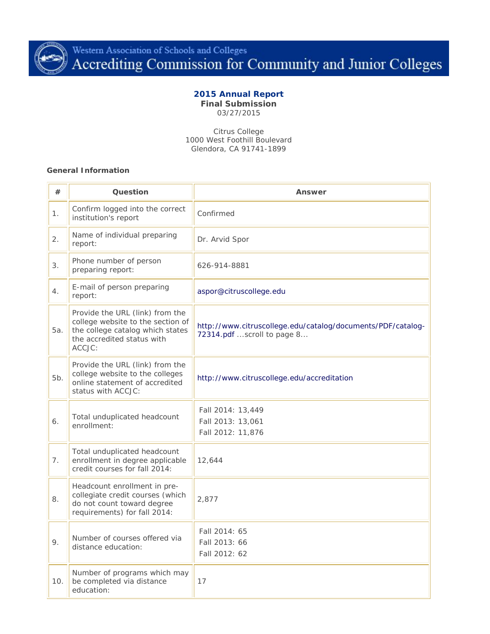

# **2015 Annual Report**

**Final Submission** 03/27/2015

Citrus College 1000 West Foothill Boulevard Glendora, CA 91741-1899

#### **General Information**

| #              | Question                                                                                                                                                                 | Answer                                                                                    |
|----------------|--------------------------------------------------------------------------------------------------------------------------------------------------------------------------|-------------------------------------------------------------------------------------------|
| 1.             | Confirm logged into the correct<br>institution's report                                                                                                                  | Confirmed                                                                                 |
| 2.             | Name of individual preparing<br>report:                                                                                                                                  | Dr. Arvid Spor                                                                            |
| 3.             | Phone number of person<br>preparing report:                                                                                                                              | 626-914-8881                                                                              |
| 4.             | E-mail of person preparing<br>report:                                                                                                                                    | aspor@citruscollege.edu                                                                   |
| 5а.            | Provide the URL (link) from the<br>college website to the section of<br>the college catalog which states<br>the accredited status with<br>ACCJC:                         | http://www.citruscollege.edu/catalog/documents/PDF/catalog-<br>72314.pdf scroll to page 8 |
| 5b.            | Provide the URL (link) from the<br>college website to the colleges<br>http://www.citruscollege.edu/accreditation<br>online statement of accredited<br>status with ACCJC: |                                                                                           |
| 6.             | Total unduplicated headcount<br>enrollment:                                                                                                                              | Fall 2014: 13,449<br>Fall 2013: 13,061<br>Fall 2012: 11,876                               |
| 7 <sub>1</sub> | Total unduplicated headcount<br>enrollment in degree applicable<br>credit courses for fall 2014:                                                                         | 12,644                                                                                    |
| 8.             | Headcount enrollment in pre-<br>collegiate credit courses (which<br>do not count toward degree<br>requirements) for fall 2014:                                           | 2,877                                                                                     |
| 9.             | Number of courses offered via<br>distance education:                                                                                                                     | Fall 2014: 65<br>Fall 2013: 66<br>Fall 2012: 62                                           |
| 10.            | Number of programs which may<br>be completed via distance<br>education:                                                                                                  | 17                                                                                        |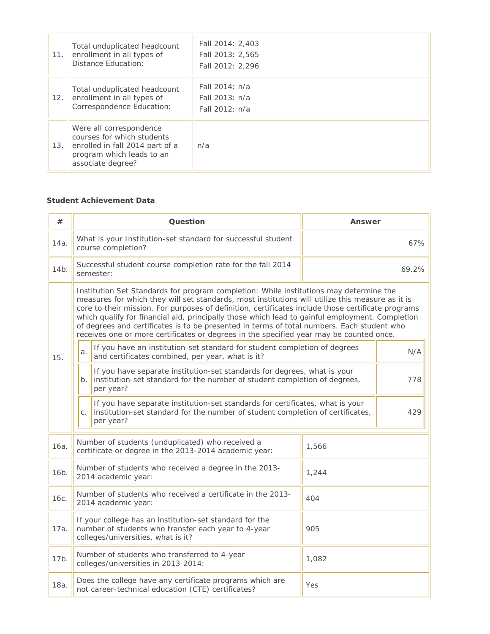| 11. | Total unduplicated headcount<br>enrollment in all types of<br>Distance Education:                                                          | Fall 2014: 2,403<br>Fall 2013: 2,565<br>Fall 2012: 2,296 |
|-----|--------------------------------------------------------------------------------------------------------------------------------------------|----------------------------------------------------------|
| 12. | Total unduplicated headcount<br>enrollment in all types of<br>Correspondence Education:                                                    | Fall 2014: n/a<br>Fall 2013: n/a<br>Fall 2012: n/a       |
| 13. | Were all correspondence<br>courses for which students<br>enrolled in fall 2014 part of a<br>program which leads to an<br>associate degree? | n/a                                                      |

## **Student Achievement Data**

| #    | Question                                                                                                                                                                                                                                                                                                                                                                                                                                                                                                                                                                                     | Answer |
|------|----------------------------------------------------------------------------------------------------------------------------------------------------------------------------------------------------------------------------------------------------------------------------------------------------------------------------------------------------------------------------------------------------------------------------------------------------------------------------------------------------------------------------------------------------------------------------------------------|--------|
| 14a. | What is your Institution-set standard for successful student<br>course completion?                                                                                                                                                                                                                                                                                                                                                                                                                                                                                                           | 67%    |
| 14b. | Successful student course completion rate for the fall 2014<br>semester:                                                                                                                                                                                                                                                                                                                                                                                                                                                                                                                     | 69.2%  |
|      | Institution Set Standards for program completion: While institutions may determine the<br>measures for which they will set standards, most institutions will utilize this measure as it is<br>core to their mission. For purposes of definition, certificates include those certificate programs<br>which qualify for financial aid, principally those which lead to gainful employment. Completion<br>of degrees and certificates is to be presented in terms of total numbers. Each student who<br>receives one or more certificates or degrees in the specified year may be counted once. |        |
| 15.  | If you have an institution-set standard for student completion of degrees<br>a.<br>and certificates combined, per year, what is it?                                                                                                                                                                                                                                                                                                                                                                                                                                                          | N/A    |
|      | If you have separate institution-set standards for degrees, what is your<br>institution-set standard for the number of student completion of degrees,<br>$b$ .<br>per year?                                                                                                                                                                                                                                                                                                                                                                                                                  |        |
|      | If you have separate institution-set standards for certificates, what is your<br>institution-set standard for the number of student completion of certificates,<br>C <sub>1</sub><br>per year?                                                                                                                                                                                                                                                                                                                                                                                               | 429    |
| 16a. | Number of students (unduplicated) who received a<br>certificate or degree in the 2013-2014 academic year:                                                                                                                                                                                                                                                                                                                                                                                                                                                                                    | 1,566  |
| 16b. | Number of students who received a degree in the 2013-<br>2014 academic year:                                                                                                                                                                                                                                                                                                                                                                                                                                                                                                                 | 1,244  |
| 16с. | Number of students who received a certificate in the 2013-<br>2014 academic year:                                                                                                                                                                                                                                                                                                                                                                                                                                                                                                            | 404    |
| 17a. | If your college has an institution-set standard for the<br>number of students who transfer each year to 4-year<br>colleges/universities, what is it?                                                                                                                                                                                                                                                                                                                                                                                                                                         | 905    |
| 17b. | Number of students who transferred to 4-year<br>colleges/universities in 2013-2014:                                                                                                                                                                                                                                                                                                                                                                                                                                                                                                          | 1,082  |
| 18a. | Does the college have any certificate programs which are<br>not career-technical education (CTE) certificates?                                                                                                                                                                                                                                                                                                                                                                                                                                                                               | Yes    |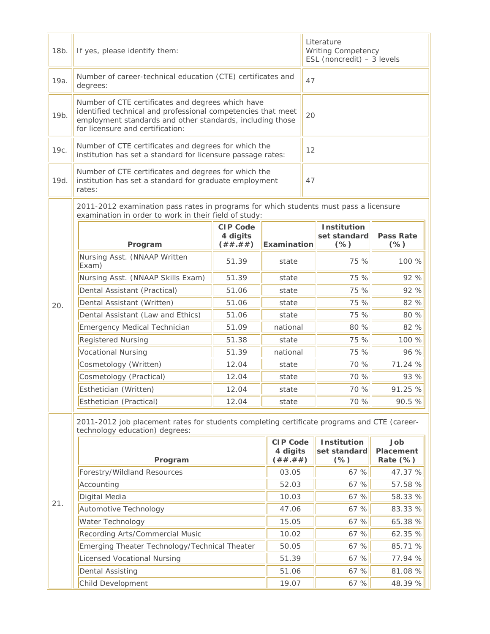| 18b. | If yes, please identify them:                                                                                                                                                                                      |                                          |                                          | Literature<br><b>Writing Competency</b><br>ESL (noncredit) $-3$ levels |                                              |                                 |
|------|--------------------------------------------------------------------------------------------------------------------------------------------------------------------------------------------------------------------|------------------------------------------|------------------------------------------|------------------------------------------------------------------------|----------------------------------------------|---------------------------------|
| 19a. | Number of career-technical education (CTE) certificates and<br>degrees:                                                                                                                                            |                                          |                                          | 47                                                                     |                                              |                                 |
| 19b. | Number of CTE certificates and degrees which have<br>identified technical and professional competencies that meet<br>employment standards and other standards, including those<br>for licensure and certification: |                                          |                                          | 20                                                                     |                                              |                                 |
| 19с. | Number of CTE certificates and degrees for which the<br>institution has set a standard for licensure passage rates:                                                                                                |                                          |                                          | 12                                                                     |                                              |                                 |
| 19d. | Number of CTE certificates and degrees for which the<br>institution has set a standard for graduate employment<br>rates:                                                                                           |                                          |                                          | 47                                                                     |                                              |                                 |
|      | 2011-2012 examination pass rates in programs for which students must pass a licensure<br>examination in order to work in their field of study:                                                                     |                                          |                                          |                                                                        |                                              |                                 |
|      | Program                                                                                                                                                                                                            | <b>CIP Code</b><br>4 digits<br>( ## .##) | Examination                              |                                                                        | <b>Institution</b><br>set standard<br>$(\%)$ | <b>Pass Rate</b><br>$(\%)$      |
|      | Nursing Asst. (NNAAP Written<br>Exam)                                                                                                                                                                              | 51.39                                    | state                                    |                                                                        | 75 %                                         | 100 %                           |
|      | Nursing Asst. (NNAAP Skills Exam)                                                                                                                                                                                  | 51.39                                    | state                                    |                                                                        | 75 %                                         | 92 %                            |
|      | Dental Assistant (Practical)                                                                                                                                                                                       | 51.06                                    | state                                    |                                                                        | 75 %                                         | 92 %                            |
| 20.  | Dental Assistant (Written)                                                                                                                                                                                         | 51.06                                    | state                                    |                                                                        | 75 %                                         | 82 %                            |
|      | Dental Assistant (Law and Ethics)                                                                                                                                                                                  | 51.06                                    | state                                    |                                                                        | 75 %                                         | 80 %                            |
|      | Emergency Medical Technician                                                                                                                                                                                       | 51.09                                    | national                                 |                                                                        | 80 %                                         | 82 %                            |
|      | <b>Registered Nursing</b>                                                                                                                                                                                          | 51.38                                    | state                                    |                                                                        | 75 %                                         | 100 %                           |
|      | Vocational Nursing                                                                                                                                                                                                 | 51.39                                    | national                                 |                                                                        | 75 %                                         | 96 %                            |
|      | Cosmetology (Written)                                                                                                                                                                                              | 12.04                                    | state                                    |                                                                        | 70 %                                         | 71.24 %                         |
|      | Cosmetology (Practical)                                                                                                                                                                                            | 12.04                                    | state                                    |                                                                        | 70 %                                         | 93 %                            |
|      | Esthetician (Written)                                                                                                                                                                                              | 12.04                                    | state                                    |                                                                        | 70 %                                         | 91.25 %                         |
|      | Esthetician (Practical)                                                                                                                                                                                            | 12.04                                    | state                                    |                                                                        | 70 %                                         | 90.5%                           |
|      | 2011-2012 job placement rates for students completing certificate programs and CTE (career-<br>technology education) degrees:                                                                                      |                                          |                                          |                                                                        |                                              |                                 |
|      | Program                                                                                                                                                                                                            |                                          | <b>CIP Code</b><br>4 digits<br>( ## .##) |                                                                        | Institution<br>set standard<br>$(\%)$        | Job<br>Placement<br>Rate $(\%)$ |
|      | Forestry/Wildland Resources                                                                                                                                                                                        |                                          | 03.05                                    |                                                                        | 67 %                                         | 47.37 %                         |
|      | Accounting                                                                                                                                                                                                         |                                          | 52.03                                    |                                                                        | 67 %                                         | 57.58 %                         |
|      | Digital Media                                                                                                                                                                                                      |                                          | 10.03                                    |                                                                        | 67 %                                         | 58.33 %                         |
| 21.  | Automotive Technology                                                                                                                                                                                              |                                          | 47.06                                    |                                                                        | 67 %                                         | 83.33 %                         |
|      | Water Technology                                                                                                                                                                                                   |                                          | 15.05                                    |                                                                        | 67 %                                         | 65.38 %                         |
|      | Recording Arts/Commercial Music                                                                                                                                                                                    |                                          | 10.02                                    |                                                                        | 67 %                                         | 62.35 %                         |
|      | Emerging Theater Technology/Technical Theater                                                                                                                                                                      |                                          | 50.05                                    |                                                                        | 67 %                                         | 85.71 %                         |
|      | <b>Licensed Vocational Nursing</b>                                                                                                                                                                                 |                                          | 51.39                                    |                                                                        | 67 %                                         | 77.94 %                         |
|      | <b>Dental Assisting</b>                                                                                                                                                                                            |                                          | 51.06                                    |                                                                        | 67 %                                         | 81.08 %                         |
|      | Child Development                                                                                                                                                                                                  |                                          | 19.07                                    |                                                                        | 67 %                                         | 48.39 %                         |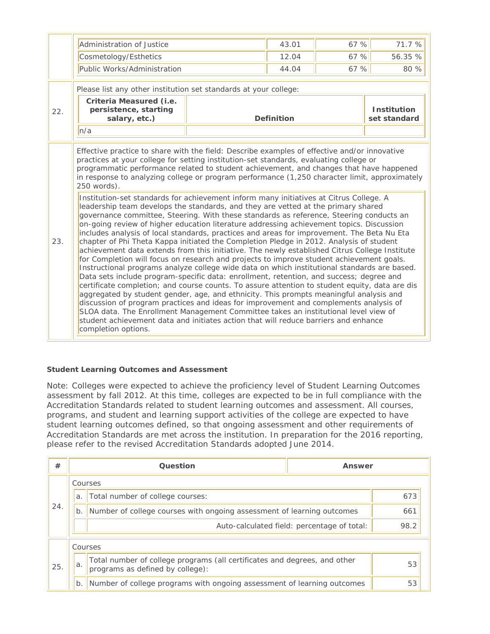|     | Administration of Justice                                                                                                                                                                                                                                                                                                                                                                                                                                                                                                                                                                                                                                                                                                                                                                                                                                                                                                                                                                                                                                                                                                                                                                                                                                                                                                                                                                                                                                                                                                                                                                                                                                                                                                                                                                                                                          |                   | 43.01 | 67 %                               | 71.7%   |
|-----|----------------------------------------------------------------------------------------------------------------------------------------------------------------------------------------------------------------------------------------------------------------------------------------------------------------------------------------------------------------------------------------------------------------------------------------------------------------------------------------------------------------------------------------------------------------------------------------------------------------------------------------------------------------------------------------------------------------------------------------------------------------------------------------------------------------------------------------------------------------------------------------------------------------------------------------------------------------------------------------------------------------------------------------------------------------------------------------------------------------------------------------------------------------------------------------------------------------------------------------------------------------------------------------------------------------------------------------------------------------------------------------------------------------------------------------------------------------------------------------------------------------------------------------------------------------------------------------------------------------------------------------------------------------------------------------------------------------------------------------------------------------------------------------------------------------------------------------------------|-------------------|-------|------------------------------------|---------|
|     | Cosmetology/Esthetics                                                                                                                                                                                                                                                                                                                                                                                                                                                                                                                                                                                                                                                                                                                                                                                                                                                                                                                                                                                                                                                                                                                                                                                                                                                                                                                                                                                                                                                                                                                                                                                                                                                                                                                                                                                                                              |                   | 12.04 | 67 %                               | 56.35 % |
|     | Public Works/Administration                                                                                                                                                                                                                                                                                                                                                                                                                                                                                                                                                                                                                                                                                                                                                                                                                                                                                                                                                                                                                                                                                                                                                                                                                                                                                                                                                                                                                                                                                                                                                                                                                                                                                                                                                                                                                        |                   | 44.04 | 67 %                               | 80 %    |
|     | Please list any other institution set standards at your college:                                                                                                                                                                                                                                                                                                                                                                                                                                                                                                                                                                                                                                                                                                                                                                                                                                                                                                                                                                                                                                                                                                                                                                                                                                                                                                                                                                                                                                                                                                                                                                                                                                                                                                                                                                                   |                   |       |                                    |         |
| 22. | Criteria Measured (i.e.<br>persistence, starting<br>salary, etc.)                                                                                                                                                                                                                                                                                                                                                                                                                                                                                                                                                                                                                                                                                                                                                                                                                                                                                                                                                                                                                                                                                                                                                                                                                                                                                                                                                                                                                                                                                                                                                                                                                                                                                                                                                                                  | <b>Definition</b> |       | <b>Institution</b><br>set standard |         |
|     | n/a                                                                                                                                                                                                                                                                                                                                                                                                                                                                                                                                                                                                                                                                                                                                                                                                                                                                                                                                                                                                                                                                                                                                                                                                                                                                                                                                                                                                                                                                                                                                                                                                                                                                                                                                                                                                                                                |                   |       |                                    |         |
| 23. | Effective practice to share with the field: Describe examples of effective and/or innovative<br>practices at your college for setting institution-set standards, evaluating college or<br>programmatic performance related to student achievement, and changes that have happened<br>in response to analyzing college or program performance (1,250 character limit, approximately<br>250 words).<br>Institution-set standards for achievement inform many initiatives at Citrus College. A<br>leadership team develops the standards, and they are vetted at the primary shared<br>governance committee, Steering. With these standards as reference, Steering conducts an<br>on-going review of higher education literature addressing achievement topics. Discussion<br>includes analysis of local standards, practices and areas for improvement. The Beta Nu Eta<br>chapter of Phi Theta Kappa initiated the Completion Pledge in 2012. Analysis of student<br>achievement data extends from this initiative. The newly established Citrus College Institute<br>for Completion will focus on research and projects to improve student achievement goals.<br>Instructional programs analyze college wide data on which institutional standards are based.<br>Data sets include program-specific data: enrollment, retention, and success; degree and<br>certificate completion; and course counts. To assure attention to student equity, data are dis<br>aggregated by student gender, age, and ethnicity. This prompts meaningful analysis and<br>discussion of program practices and ideas for improvement and complements analysis of<br>SLOA data. The Enrollment Management Committee takes an institutional level view of<br>student achievement data and initiates action that will reduce barriers and enhance<br>completion options. |                   |       |                                    |         |

## **Student Learning Outcomes and Assessment**

Note: Colleges were expected to achieve the proficiency level of Student Learning Outcomes assessment by fall 2012. At this time, colleges are expected to be in full compliance with the Accreditation Standards related to student learning outcomes and assessment. All courses, programs, and student and learning support activities of the college are expected to have student learning outcomes defined, so that ongoing assessment and other requirements of Accreditation Standards are met across the institution. In preparation for the 2016 reporting, please refer to the revised Accreditation Standards adopted June 2014.

| #   |         | Question                                                                                                      | Answer                                      |      |
|-----|---------|---------------------------------------------------------------------------------------------------------------|---------------------------------------------|------|
|     |         | Courses                                                                                                       |                                             |      |
|     | a       | Total number of college courses:                                                                              |                                             | 673  |
| 24. | b       | Number of college courses with ongoing assessment of learning outcomes                                        |                                             | 661  |
|     |         |                                                                                                               | Auto-calculated field: percentage of total: | 98.2 |
|     | Courses |                                                                                                               |                                             |      |
| 25  | a.      | Total number of college programs (all certificates and degrees, and other<br>programs as defined by college): |                                             | 53   |
|     | $b$ .   | Number of college programs with ongoing assessment of learning outcomes                                       |                                             | 53   |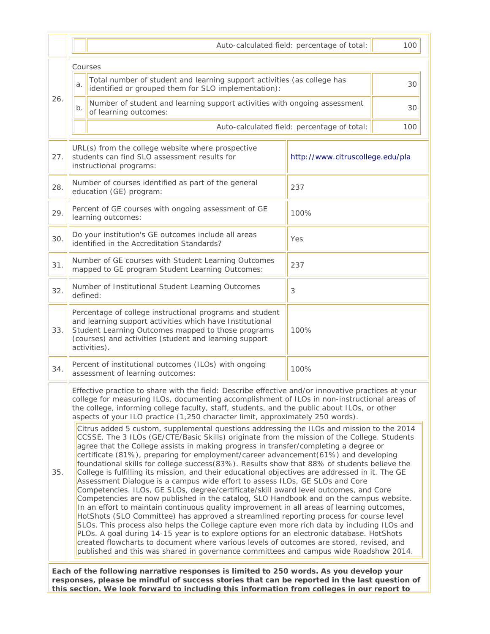|     | 100<br>Auto-calculated field: percentage of total:                                                                                                                                                                                                                                                                                                                                                                                                                                                                                                                                                                                                                                                                                                                                                                                                                                                                                                                                                                                                                                                                                                                                                                                                                                                                                                                                                                  |                                                    |  |  |
|-----|---------------------------------------------------------------------------------------------------------------------------------------------------------------------------------------------------------------------------------------------------------------------------------------------------------------------------------------------------------------------------------------------------------------------------------------------------------------------------------------------------------------------------------------------------------------------------------------------------------------------------------------------------------------------------------------------------------------------------------------------------------------------------------------------------------------------------------------------------------------------------------------------------------------------------------------------------------------------------------------------------------------------------------------------------------------------------------------------------------------------------------------------------------------------------------------------------------------------------------------------------------------------------------------------------------------------------------------------------------------------------------------------------------------------|----------------------------------------------------|--|--|
|     | Courses                                                                                                                                                                                                                                                                                                                                                                                                                                                                                                                                                                                                                                                                                                                                                                                                                                                                                                                                                                                                                                                                                                                                                                                                                                                                                                                                                                                                             |                                                    |  |  |
|     | Total number of student and learning support activities (as college has<br>a.<br>identified or grouped them for SLO implementation):                                                                                                                                                                                                                                                                                                                                                                                                                                                                                                                                                                                                                                                                                                                                                                                                                                                                                                                                                                                                                                                                                                                                                                                                                                                                                | 30                                                 |  |  |
| 26. | Number of student and learning support activities with ongoing assessment<br>b.<br>of learning outcomes:                                                                                                                                                                                                                                                                                                                                                                                                                                                                                                                                                                                                                                                                                                                                                                                                                                                                                                                                                                                                                                                                                                                                                                                                                                                                                                            | 30                                                 |  |  |
|     |                                                                                                                                                                                                                                                                                                                                                                                                                                                                                                                                                                                                                                                                                                                                                                                                                                                                                                                                                                                                                                                                                                                                                                                                                                                                                                                                                                                                                     | Auto-calculated field: percentage of total:<br>100 |  |  |
| 27. | URL(s) from the college website where prospective<br>students can find SLO assessment results for<br>instructional programs:                                                                                                                                                                                                                                                                                                                                                                                                                                                                                                                                                                                                                                                                                                                                                                                                                                                                                                                                                                                                                                                                                                                                                                                                                                                                                        | http://www.citruscollege.edu/pla                   |  |  |
| 28. | Number of courses identified as part of the general<br>education (GE) program:                                                                                                                                                                                                                                                                                                                                                                                                                                                                                                                                                                                                                                                                                                                                                                                                                                                                                                                                                                                                                                                                                                                                                                                                                                                                                                                                      | 237                                                |  |  |
| 29. | Percent of GE courses with ongoing assessment of GE<br>learning outcomes:                                                                                                                                                                                                                                                                                                                                                                                                                                                                                                                                                                                                                                                                                                                                                                                                                                                                                                                                                                                                                                                                                                                                                                                                                                                                                                                                           | 100%                                               |  |  |
| 30. | Do your institution's GE outcomes include all areas<br>identified in the Accreditation Standards?                                                                                                                                                                                                                                                                                                                                                                                                                                                                                                                                                                                                                                                                                                                                                                                                                                                                                                                                                                                                                                                                                                                                                                                                                                                                                                                   | Yes                                                |  |  |
| 31. | Number of GE courses with Student Learning Outcomes<br>mapped to GE program Student Learning Outcomes:                                                                                                                                                                                                                                                                                                                                                                                                                                                                                                                                                                                                                                                                                                                                                                                                                                                                                                                                                                                                                                                                                                                                                                                                                                                                                                              | 237                                                |  |  |
| 32. | Number of Institutional Student Learning Outcomes<br>defined:                                                                                                                                                                                                                                                                                                                                                                                                                                                                                                                                                                                                                                                                                                                                                                                                                                                                                                                                                                                                                                                                                                                                                                                                                                                                                                                                                       | 3                                                  |  |  |
| 33. | Percentage of college instructional programs and student<br>and learning support activities which have Institutional<br>Student Learning Outcomes mapped to those programs<br>(courses) and activities (student and learning support<br>activities).                                                                                                                                                                                                                                                                                                                                                                                                                                                                                                                                                                                                                                                                                                                                                                                                                                                                                                                                                                                                                                                                                                                                                                | 100%                                               |  |  |
| 34. | Percent of institutional outcomes (ILOs) with ongoing<br>assessment of learning outcomes:                                                                                                                                                                                                                                                                                                                                                                                                                                                                                                                                                                                                                                                                                                                                                                                                                                                                                                                                                                                                                                                                                                                                                                                                                                                                                                                           | 100%                                               |  |  |
|     | Effective practice to share with the field: Describe effective and/or innovative practices at your<br>college for measuring ILOs, documenting accomplishment of ILOs in non-instructional areas of<br>the college, informing college faculty, staff, students, and the public about ILOs, or other<br>aspects of your ILO practice (1,250 character limit, approximately 250 words).                                                                                                                                                                                                                                                                                                                                                                                                                                                                                                                                                                                                                                                                                                                                                                                                                                                                                                                                                                                                                                |                                                    |  |  |
| 35. | Citrus added 5 custom, supplemental questions addressing the ILOs and mission to the 2014<br>CCSSE. The 3 ILOs (GE/CTE/Basic Skills) originate from the mission of the College. Students<br>agree that the College assists in making progress in transfer/completing a degree or<br>certificate (81%), preparing for employment/career advancement(61%) and developing<br>foundational skills for college success(83%). Results show that 88% of students believe the<br>College is fulfilling its mission, and their educational objectives are addressed in it. The GE<br>Assessment Dialogue is a campus wide effort to assess ILOs, GE SLOs and Core<br>Competencies. ILOs, GE SLOs, degree/certificate/skill award level outcomes, and Core<br>Competencies are now published in the catalog, SLO Handbook and on the campus website.<br>In an effort to maintain continuous quality improvement in all areas of learning outcomes,<br>HotShots (SLO Committee) has approved a streamlined reporting process for course level<br>SLOs. This process also helps the College capture even more rich data by including ILOs and<br>PLOs. A goal during 14-15 year is to explore options for an electronic database. HotShots<br>created flowcharts to document where various levels of outcomes are stored, revised, and<br>published and this was shared in governance committees and campus wide Roadshow 2014. |                                                    |  |  |

**responses, please be mindful of success stories that can be reported in the last question of this section. We look forward to including this information from colleges in our report to**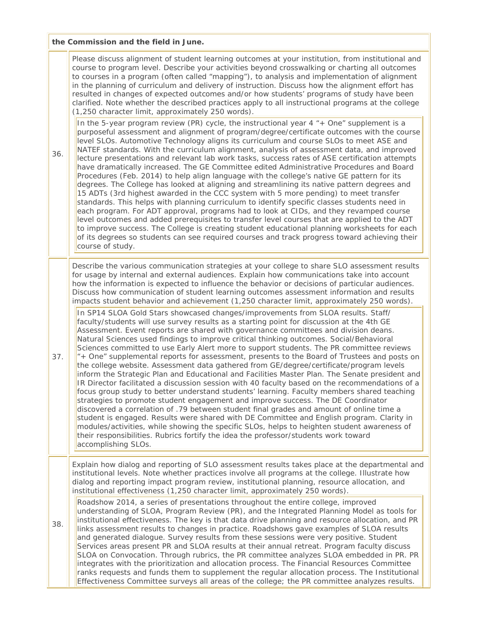|     | the Commission and the field in June.                                                                                                                                                                                                                                                                                                                                                                                                                                                                                                                                                                                                                                                                                                                                                                                                                                                                                                                                                                                                                                                                                                                                                                                                                                                                                                                                                                                                                                                                                                                                                                                                                                                                                                                                                                                                                                                                                                                                                                                                                |  |  |  |
|-----|------------------------------------------------------------------------------------------------------------------------------------------------------------------------------------------------------------------------------------------------------------------------------------------------------------------------------------------------------------------------------------------------------------------------------------------------------------------------------------------------------------------------------------------------------------------------------------------------------------------------------------------------------------------------------------------------------------------------------------------------------------------------------------------------------------------------------------------------------------------------------------------------------------------------------------------------------------------------------------------------------------------------------------------------------------------------------------------------------------------------------------------------------------------------------------------------------------------------------------------------------------------------------------------------------------------------------------------------------------------------------------------------------------------------------------------------------------------------------------------------------------------------------------------------------------------------------------------------------------------------------------------------------------------------------------------------------------------------------------------------------------------------------------------------------------------------------------------------------------------------------------------------------------------------------------------------------------------------------------------------------------------------------------------------------|--|--|--|
| 36. | Please discuss alignment of student learning outcomes at your institution, from institutional and<br>course to program level. Describe your activities beyond crosswalking or charting all outcomes<br>to courses in a program (often called "mapping"), to analysis and implementation of alignment<br>in the planning of curriculum and delivery of instruction. Discuss how the alignment effort has<br>resulted in changes of expected outcomes and/or how students' programs of study have been<br>clarified. Note whether the described practices apply to all instructional programs at the college<br>(1,250 character limit, approximately 250 words).<br>In the 5-year program review (PR) cycle, the instructional year 4 "+ One" supplement is a<br>purposeful assessment and alignment of program/degree/certificate outcomes with the course<br>level SLOs. Automotive Technology aligns its curriculum and course SLOs to meet ASE and<br>NATEF standards. With the curriculum alignment, analysis of assessment data, and improved<br>lecture presentations and relevant lab work tasks, success rates of ASE certification attempts<br>have dramatically increased. The GE Committee edited Administrative Procedures and Board<br>Procedures (Feb. 2014) to help align language with the college's native GE pattern for its<br>degrees. The College has looked at aligning and streamlining its native pattern degrees and<br>15 ADTs (3rd highest awarded in the CCC system with 5 more pending) to meet transfer<br>standards. This helps with planning curriculum to identify specific classes students need in<br>each program. For ADT approval, programs had to look at CIDs, and they revamped course<br>level outcomes and added prerequisites to transfer level courses that are applied to the ADT<br>to improve success. The College is creating student educational planning worksheets for each<br>of its degrees so students can see required courses and track progress toward achieving their<br>course of study. |  |  |  |
|     | Describe the various communication strategies at your college to share SLO assessment results<br>for usage by internal and external audiences. Explain how communications take into account<br>how the information is expected to influence the behavior or decisions of particular audiences.<br>Discuss how communication of student learning outcomes assessment information and results<br>impacts student behavior and achievement (1,250 character limit, approximately 250 words).                                                                                                                                                                                                                                                                                                                                                                                                                                                                                                                                                                                                                                                                                                                                                                                                                                                                                                                                                                                                                                                                                                                                                                                                                                                                                                                                                                                                                                                                                                                                                            |  |  |  |
| 37. | In SP14 SLOA Gold Stars showcased changes/improvements from SLOA results. Staff/<br>faculty/students will use survey results as a starting point for discussion at the 4th GE<br>Assessment. Event reports are shared with governance committees and division deans.<br>Natural Sciences used findings to improve critical thinking outcomes. Social/Behavioral<br>Sciences committed to use Early Alert more to support students. The PR committee reviews<br>"+ One" supplemental reports for assessment, presents to the Board of Trustees and posts on<br>the college website. Assessment data gathered from GE/degree/certificate/program levels<br>inform the Strategic Plan and Educational and Facilities Master Plan. The Senate president and<br>IR Director facilitated a discussion session with 40 faculty based on the recommendations of a<br>focus group study to better understand students' learning. Faculty members shared teaching<br>strategies to promote student engagement and improve success. The DE Coordinator<br>discovered a correlation of .79 between student final grades and amount of online time a<br>student is engaged. Results were shared with DE Committee and English program. Clarity in<br>modules/activities, while showing the specific SLOs, helps to heighten student awareness of<br>their responsibilities. Rubrics fortify the idea the professor/students work toward<br>accomplishing SLOs.                                                                                                                                                                                                                                                                                                                                                                                                                                                                                                                                                                                                    |  |  |  |
| 38. | Explain how dialog and reporting of SLO assessment results takes place at the departmental and<br>institutional levels. Note whether practices involve all programs at the college. Illustrate how<br>dialog and reporting impact program review, institutional planning, resource allocation, and<br>institutional effectiveness (1,250 character limit, approximately 250 words).<br>Roadshow 2014, a series of presentations throughout the entire college, improved<br>understanding of SLOA, Program Review (PR), and the Integrated Planning Model as tools for<br>institutional effectiveness. The key is that data drive planning and resource allocation, and PR<br>links assessment results to changes in practice. Roadshows gave examples of SLOA results<br>and generated dialogue. Survey results from these sessions were very positive. Student<br>Services areas present PR and SLOA results at their annual retreat. Program faculty discuss<br>SLOA on Convocation. Through rubrics, the PR committee analyzes SLOA embedded in PR. PR<br>integrates with the prioritization and allocation process. The Financial Resources Committee<br>ranks requests and funds them to supplement the regular allocation process. The Institutional                                                                                                                                                                                                                                                                                                                                                                                                                                                                                                                                                                                                                                                                                                                                                                                           |  |  |  |

 $\overline{r}$ 

٣Ì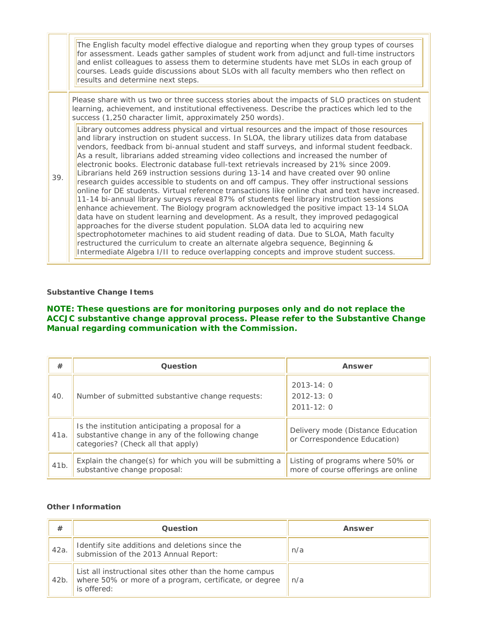|  |     | The English faculty model effective dialogue and reporting when they group types of courses<br>for assessment. Leads gather samples of student work from adjunct and full-time instructors<br>and enlist colleagues to assess them to determine students have met SLOs in each group of<br>courses. Leads guide discussions about SLOs with all faculty members who then reflect on<br>results and determine next steps.                                                                                                                                                                                                                                                                                                                                                                                                                                                                                                                                                                                                                                                                                                                                                                                                                                                                                                                                                                                   |
|--|-----|------------------------------------------------------------------------------------------------------------------------------------------------------------------------------------------------------------------------------------------------------------------------------------------------------------------------------------------------------------------------------------------------------------------------------------------------------------------------------------------------------------------------------------------------------------------------------------------------------------------------------------------------------------------------------------------------------------------------------------------------------------------------------------------------------------------------------------------------------------------------------------------------------------------------------------------------------------------------------------------------------------------------------------------------------------------------------------------------------------------------------------------------------------------------------------------------------------------------------------------------------------------------------------------------------------------------------------------------------------------------------------------------------------|
|  |     | Please share with us two or three success stories about the impacts of SLO practices on student<br>learning, achievement, and institutional effectiveness. Describe the practices which led to the<br>success (1,250 character limit, approximately 250 words).                                                                                                                                                                                                                                                                                                                                                                                                                                                                                                                                                                                                                                                                                                                                                                                                                                                                                                                                                                                                                                                                                                                                            |
|  | 39. | Library outcomes address physical and virtual resources and the impact of those resources<br>and library instruction on student success. In SLOA, the library utilizes data from database<br>vendors, feedback from bi-annual student and staff surveys, and informal student feedback.<br>As a result, librarians added streaming video collections and increased the number of<br>electronic books. Electronic database full-text retrievals increased by 21% since 2009.<br>Librarians held 269 instruction sessions during 13-14 and have created over 90 online<br>research guides accessible to students on and off campus. They offer instructional sessions<br>online for DE students. Virtual reference transactions like online chat and text have increased.<br>11-14 bi-annual library surveys reveal 87% of students feel library instruction sessions<br>enhance achievement. The Biology program acknowledged the positive impact 13-14 SLOA<br>data have on student learning and development. As a result, they improved pedagogical<br>approaches for the diverse student population. SLOA data led to acquiring new<br>spectrophotometer machines to aid student reading of data. Due to SLOA, Math faculty<br>restructured the curriculum to create an alternate algebra sequence, Beginning &<br>Intermediate Algebra I/II to reduce overlapping concepts and improve student success. |

#### **Substantive Change Items**

# **NOTE: These questions are for monitoring purposes only and do not replace the ACCJC substantive change approval process. Please refer to the Substantive Change Manual regarding communication with the Commission.**

| #    | Question                                                                                                                                    | Answer                                                                  |
|------|---------------------------------------------------------------------------------------------------------------------------------------------|-------------------------------------------------------------------------|
| 40.  | Number of submitted substantive change requests:                                                                                            | $2013 - 14:0$<br>$2012 - 13:0$<br>$2011 - 12:0$                         |
| 41a. | Is the institution anticipating a proposal for a<br>substantive change in any of the following change<br>categories? (Check all that apply) | Delivery mode (Distance Education<br>or Correspondence Education)       |
| 41b. | Explain the change(s) for which you will be submitting a<br>substantive change proposal:                                                    | Listing of programs where 50% or<br>more of course offerings are online |

#### **Other Information**

| #    | <b>Question</b>                                                                                                                  | Answer |
|------|----------------------------------------------------------------------------------------------------------------------------------|--------|
| 42a. | Identify site additions and deletions since the<br>submission of the 2013 Annual Report:                                         | n/a    |
| 42b. | List all instructional sites other than the home campus<br>where 50% or more of a program, certificate, or degree<br>is offered: | n/a    |